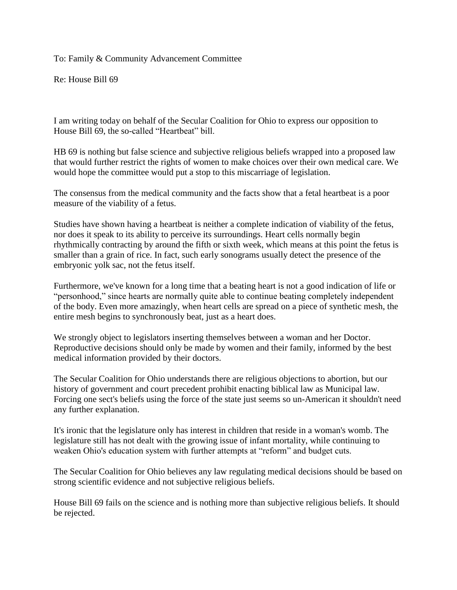To: Family & Community Advancement Committee

Re: House Bill 69

I am writing today on behalf of the Secular Coalition for Ohio to express our opposition to House Bill 69, the so-called "Heartbeat" bill.

HB 69 is nothing but false science and subjective religious beliefs wrapped into a proposed law that would further restrict the rights of women to make choices over their own medical care. We would hope the committee would put a stop to this miscarriage of legislation.

The consensus from the medical community and the facts show that a fetal heartbeat is a poor measure of the viability of a fetus.

Studies have shown having a heartbeat is neither a complete indication of viability of the fetus, nor does it speak to its ability to perceive its surroundings. Heart cells normally begin rhythmically contracting by around the fifth or sixth week, which means at this point the fetus is smaller than a grain of rice. In fact, such early sonograms usually detect the presence of the embryonic yolk sac, not the fetus itself.

Furthermore, we've known for a long time that a beating heart is not a good indication of life or "personhood," since hearts are normally quite able to continue beating completely independent of the body. Even more amazingly, when heart cells are spread on a piece of synthetic mesh, the entire mesh begins to synchronously beat, just as a heart does.

We strongly object to legislators inserting themselves between a woman and her Doctor. Reproductive decisions should only be made by women and their family, informed by the best medical information provided by their doctors.

The Secular Coalition for Ohio understands there are religious objections to abortion, but our history of government and court precedent prohibit enacting biblical law as Municipal law. Forcing one sect's beliefs using the force of the state just seems so un-American it shouldn't need any further explanation.

It's ironic that the legislature only has interest in children that reside in a woman's womb. The legislature still has not dealt with the growing issue of infant mortality, while continuing to weaken Ohio's education system with further attempts at "reform" and budget cuts.

The Secular Coalition for Ohio believes any law regulating medical decisions should be based on strong scientific evidence and not subjective religious beliefs.

House Bill 69 fails on the science and is nothing more than subjective religious beliefs. It should be rejected.